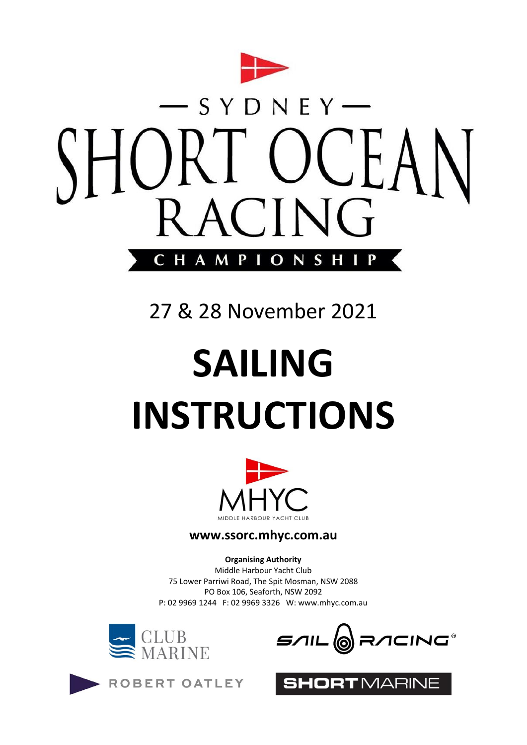

## 27 & 28 November 2021

# **SAILING INSTRUCTIONS**



#### **www.ssorc.mhyc.com.au**

**Organising Authority** Middle Harbour Yacht Club 75 Lower Parriwi Road, The Spit Mosman, NSW 2088 PO Box 106, Seaforth, NSW 2092 P: 02 9969 1244 F: 02 9969 3326 W: [www.mhyc.com.au](http://www.mhyc.com.au/)







ORTMARINE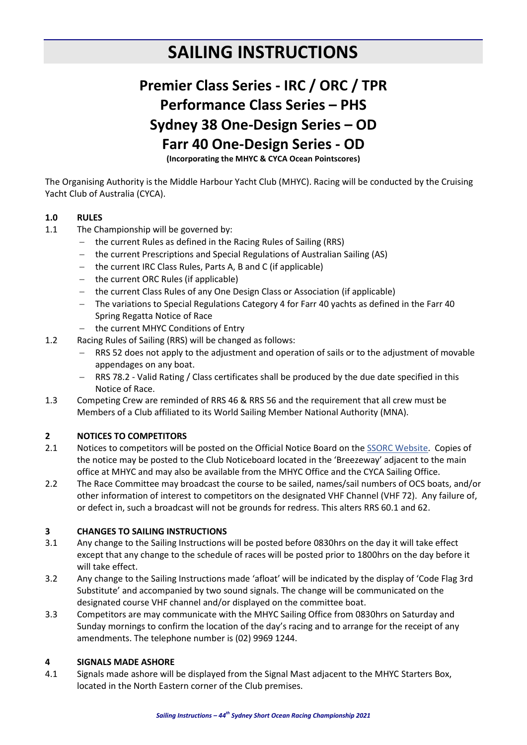## **SAILING INSTRUCTIONS**

## **Premier Class Series - IRC / ORC / TPR Performance Class Series – PHS Sydney 38 One-Design Series – OD Farr 40 One-Design Series - OD**

**(Incorporating the MHYC & CYCA Ocean Pointscores)**

The Organising Authority is the Middle Harbour Yacht Club (MHYC). Racing will be conducted by the Cruising Yacht Club of Australia (CYCA).

#### **1.0 RULES**

- 1.1 The Championship will be governed by:
	- the current Rules as defined in the Racing Rules of Sailing (RRS)
	- the current Prescriptions and Special Regulations of Australian Sailing (AS)
	- the current IRC Class Rules, Parts A, B and C (if applicable)
	- $-$  the current ORC Rules (if applicable)
	- the current Class Rules of any One Design Class or Association (if applicable)
	- The variations to Special Regulations Category 4 for Farr 40 yachts as defined in the Farr 40 Spring Regatta Notice of Race
	- the current MHYC Conditions of Entry
- 1.2 Racing Rules of Sailing (RRS) will be changed as follows:
	- RRS 52 does not apply to the adjustment and operation of sails or to the adjustment of movable appendages on any boat.
	- RRS 78.2 Valid Rating / Class certificates shall be produced by the due date specified in this Notice of Race.
- 1.3 Competing Crew are reminded of RRS 46 & RRS 56 and the requirement that all crew must be Members of a Club affiliated to its World Sailing Member National Authority (MNA).

#### **2 NOTICES TO COMPETITORS**

- 2.1 Notices to competitors will be posted on the Official Notice Board on th[e SSORC Website.](https://www.ssorc.mhyc.com.au/news/30-race-documents.html) Copies of the notice may be posted to the Club Noticeboard located in the 'Breezeway' adjacent to the main office at MHYC and may also be available from the MHYC Office and the CYCA Sailing Office.
- 2.2 The Race Committee may broadcast the course to be sailed, names/sail numbers of OCS boats, and/or other information of interest to competitors on the designated VHF Channel (VHF 72). Any failure of, or defect in, such a broadcast will not be grounds for redress. This alters RRS 60.1 and 62.

#### **3 CHANGES TO SAILING INSTRUCTIONS**

- 3.1 Any change to the Sailing Instructions will be posted before 0830hrs on the day it will take effect except that any change to the schedule of races will be posted prior to 1800hrs on the day before it will take effect.
- 3.2 Any change to the Sailing Instructions made 'afloat' will be indicated by the display of 'Code Flag 3rd Substitute' and accompanied by two sound signals. The change will be communicated on the designated course VHF channel and/or displayed on the committee boat.
- 3.3 Competitors are may communicate with the MHYC Sailing Office from 0830hrs on Saturday and Sunday mornings to confirm the location of the day's racing and to arrange for the receipt of any amendments. The telephone number is (02) 9969 1244.

#### **4 SIGNALS MADE ASHORE**

4.1 Signals made ashore will be displayed from the Signal Mast adjacent to the MHYC Starters Box, located in the North Eastern corner of the Club premises.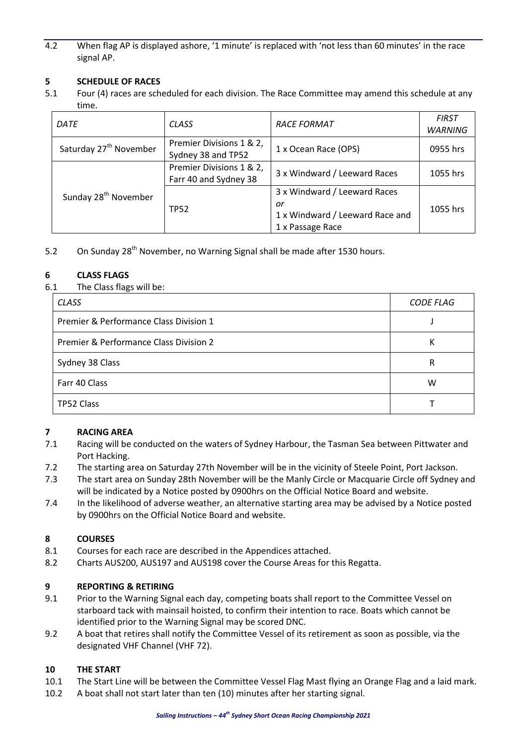4.2 When flag AP is displayed ashore, '1 minute' is replaced with 'not less than 60 minutes' in the race signal AP.

#### **5 SCHEDULE OF RACES**

5.1 Four (4) races are scheduled for each division. The Race Committee may amend this schedule at any time.

| DATE                               | <b>CLASS</b>                                      | <b>RACE FORMAT</b>                                                                        | <b>FIRST</b><br><b>WARNING</b> |
|------------------------------------|---------------------------------------------------|-------------------------------------------------------------------------------------------|--------------------------------|
| Saturday 27 <sup>th</sup> November | Premier Divisions 1 & 2,<br>Sydney 38 and TP52    | 1 x Ocean Race (OPS)                                                                      | 0955 hrs                       |
|                                    | Premier Divisions 1 & 2,<br>Farr 40 and Sydney 38 | 3 x Windward / Leeward Races                                                              | 1055 hrs                       |
| Sunday 28 <sup>th</sup> November   | <b>TP52</b>                                       | 3 x Windward / Leeward Races<br>or<br>1 x Windward / Leeward Race and<br>1 x Passage Race | 1055 hrs                       |

5.2 On Sunday 28<sup>th</sup> November, no Warning Signal shall be made after 1530 hours.

#### **6 CLASS FLAGS**

6.1 The Class flags will be:

| <b>CLASS</b>                           | <b>CODE FLAG</b> |
|----------------------------------------|------------------|
| Premier & Performance Class Division 1 |                  |
| Premier & Performance Class Division 2 | Κ                |
| Sydney 38 Class                        | R                |
| Farr 40 Class                          | w                |
| TP52 Class                             |                  |

#### **7 RACING AREA**

- 7.1 Racing will be conducted on the waters of Sydney Harbour, the Tasman Sea between Pittwater and Port Hacking.
- 7.2 The starting area on Saturday 27th November will be in the vicinity of Steele Point, Port Jackson.
- 7.3 The start area on Sunday 28th November will be the Manly Circle or Macquarie Circle off Sydney and will be indicated by a Notice posted by 0900hrs on the Official Notice Board and website.
- 7.4 In the likelihood of adverse weather, an alternative starting area may be advised by a Notice posted by 0900hrs on the Official Notice Board and website.

#### **8 COURSES**

- 8.1 Courses for each race are described in the Appendices attached.
- 8.2 Charts AUS200, AUS197 and AUS198 cover the Course Areas for this Regatta.

#### **9 REPORTING & RETIRING**

- 9.1 Prior to the Warning Signal each day, competing boats shall report to the Committee Vessel on starboard tack with mainsail hoisted, to confirm their intention to race. Boats which cannot be identified prior to the Warning Signal may be scored DNC.
- 9.2 A boat that retires shall notify the Committee Vessel of its retirement as soon as possible, via the designated VHF Channel (VHF 72).

#### **10 THE START**

- 10.1 The Start Line will be between the Committee Vessel Flag Mast flying an Orange Flag and a laid mark.
- 10.2 A boat shall not start later than ten (10) minutes after her starting signal.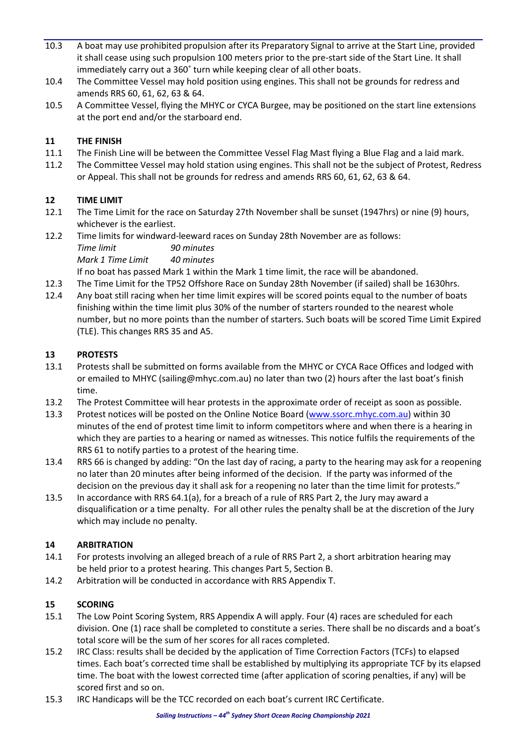- 10.3 A boat may use prohibited propulsion after its Preparatory Signal to arrive at the Start Line, provided it shall cease using such propulsion 100 meters prior to the pre-start side of the Start Line. It shall immediately carry out a 360˚ turn while keeping clear of all other boats.
- 10.4 The Committee Vessel may hold position using engines. This shall not be grounds for redress and amends RRS 60, 61, 62, 63 & 64.
- 10.5 A Committee Vessel, flying the MHYC or CYCA Burgee, may be positioned on the start line extensions at the port end and/or the starboard end.

#### **11 THE FINISH**

- 11.1 The Finish Line will be between the Committee Vessel Flag Mast flying a Blue Flag and a laid mark.
- 11.2 The Committee Vessel may hold station using engines. This shall not be the subject of Protest, Redress or Appeal. This shall not be grounds for redress and amends RRS 60, 61, 62, 63 & 64.

#### **12 TIME LIMIT**

- 12.1 The Time Limit for the race on Saturday 27th November shall be sunset (1947hrs) or nine (9) hours, whichever is the earliest.
- 12.2 Time limits for windward-leeward races on Sunday 28th November are as follows: *Time limit 90 minutes Mark 1 Time Limit 40 minutes*

If no boat has passed Mark 1 within the Mark 1 time limit, the race will be abandoned.

- 12.3 The Time Limit for the TP52 Offshore Race on Sunday 28th November (if sailed) shall be 1630hrs.
- 12.4 Any boat still racing when her time limit expires will be scored points equal to the number of boats finishing within the time limit plus 30% of the number of starters rounded to the nearest whole number, but no more points than the number of starters. Such boats will be scored Time Limit Expired (TLE). This changes RRS 35 and A5.

#### **13 PROTESTS**

- 13.1 Protests shall be submitted on forms available from the MHYC or CYCA Race Offices and lodged with or emailed to MHYC (sailing@mhyc.com.au) no later than two (2) hours after the last boat's finish time.
- 13.2 The Protest Committee will hear protests in the approximate order of receipt as soon as possible.
- 13.3 Protest notices will be posted on the Online Notice Board [\(www.ssorc.mhyc.com.au\)](http://www.ssorc.mhyc.com.au/) within 30 minutes of the end of protest time limit to inform competitors where and when there is a hearing in which they are parties to a hearing or named as witnesses. This notice fulfils the requirements of the RRS 61 to notify parties to a protest of the hearing time.
- 13.4 RRS 66 is changed by adding: "On the last day of racing, a party to the hearing may ask for a reopening no later than 20 minutes after being informed of the decision. If the party was informed of the decision on the previous day it shall ask for a reopening no later than the time limit for protests."
- 13.5 In accordance with RRS 64.1(a), for a breach of a rule of RRS Part 2, the Jury may award a disqualification or a time penalty. For all other rules the penalty shall be at the discretion of the Jury which may include no penalty.

#### **14 ARBITRATION**

- 14.1 For protests involving an alleged breach of a rule of RRS Part 2, a short arbitration hearing may be held prior to a protest hearing. This changes Part 5, Section B.
- 14.2 Arbitration will be conducted in accordance with RRS Appendix T.

#### **15 SCORING**

- 15.1 The Low Point Scoring System, RRS Appendix A will apply. Four (4) races are scheduled for each division. One (1) race shall be completed to constitute a series. There shall be no discards and a boat's total score will be the sum of her scores for all races completed.
- 15.2 IRC Class: results shall be decided by the application of Time Correction Factors (TCFs) to elapsed times. Each boat's corrected time shall be established by multiplying its appropriate TCF by its elapsed time. The boat with the lowest corrected time (after application of scoring penalties, if any) will be scored first and so on.
- 15.3 IRC Handicaps will be the TCC recorded on each boat's current IRC Certificate.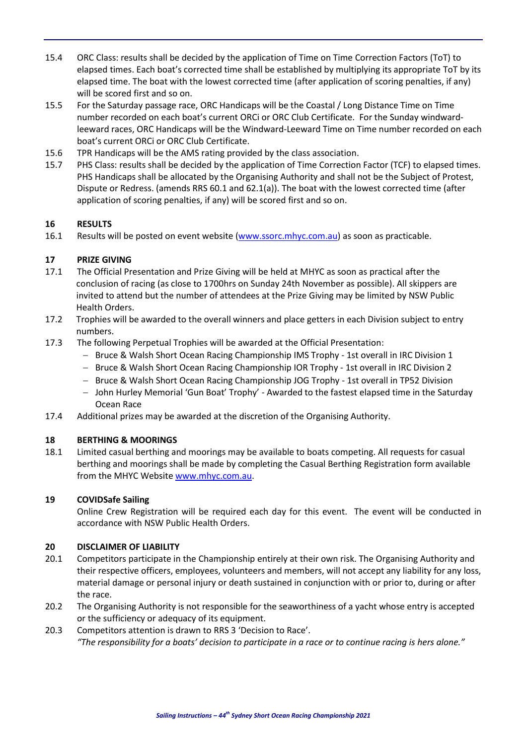- 15.4 ORC Class: results shall be decided by the application of Time on Time Correction Factors (ToT) to elapsed times. Each boat's corrected time shall be established by multiplying its appropriate ToT by its elapsed time. The boat with the lowest corrected time (after application of scoring penalties, if any) will be scored first and so on.
- 15.5 For the Saturday passage race, ORC Handicaps will be the Coastal / Long Distance Time on Time number recorded on each boat's current ORCi or ORC Club Certificate. For the Sunday windwardleeward races, ORC Handicaps will be the Windward-Leeward Time on Time number recorded on each boat's current ORCi or ORC Club Certificate.
- 15.6 TPR Handicaps will be the AMS rating provided by the class association.
- 15.7 PHS Class: results shall be decided by the application of Time Correction Factor (TCF) to elapsed times. PHS Handicaps shall be allocated by the Organising Authority and shall not be the Subject of Protest, Dispute or Redress. (amends RRS 60.1 and 62.1(a)). The boat with the lowest corrected time (after application of scoring penalties, if any) will be scored first and so on.

#### **16 RESULTS**

16.1 Results will be posted on event website [\(www.ssorc.mhyc.com.au\)](http://www.ssorc.mhyc.com.au/) as soon as practicable.

#### **17 PRIZE GIVING**

- 17.1 The Official Presentation and Prize Giving will be held at MHYC as soon as practical after the conclusion of racing (as close to 1700hrs on Sunday 24th November as possible). All skippers are invited to attend but the number of attendees at the Prize Giving may be limited by NSW Public Health Orders.
- 17.2 Trophies will be awarded to the overall winners and place getters in each Division subject to entry numbers.
- 17.3 The following Perpetual Trophies will be awarded at the Official Presentation:
	- Bruce & Walsh Short Ocean Racing Championship IMS Trophy 1st overall in IRC Division 1
	- Bruce & Walsh Short Ocean Racing Championship IOR Trophy 1st overall in IRC Division 2
	- Bruce & Walsh Short Ocean Racing Championship JOG Trophy 1st overall in TP52 Division
	- John Hurley Memorial 'Gun Boat' Trophy' Awarded to the fastest elapsed time in the Saturday Ocean Race
- 17.4 Additional prizes may be awarded at the discretion of the Organising Authority.

#### **18 BERTHING & MOORINGS**

18.1 Limited casual berthing and moorings may be available to boats competing. All requests for casual berthing and moorings shall be made by completing the Casual Berthing Registration form available from the MHYC Website [www.mhyc.com.au.](https://www.mhyc.com.au/images/Marina/MHYCCasualBerthingApplication2020.pdf)

#### **19 COVIDSafe Sailing**

Online Crew Registration will be required each day for this event. The event will be conducted in accordance with NSW Public Health Orders.

#### **20 DISCLAIMER OF LIABILITY**

- 20.1 Competitors participate in the Championship entirely at their own risk. The Organising Authority and their respective officers, employees, volunteers and members, will not accept any liability for any loss, material damage or personal injury or death sustained in conjunction with or prior to, during or after the race.
- 20.2 The Organising Authority is not responsible for the seaworthiness of a yacht whose entry is accepted or the sufficiency or adequacy of its equipment.
- 20.3 Competitors attention is drawn to RRS 3 'Decision to Race'. *"The responsibility for a boats' decision to participate in a race or to continue racing is hers alone."*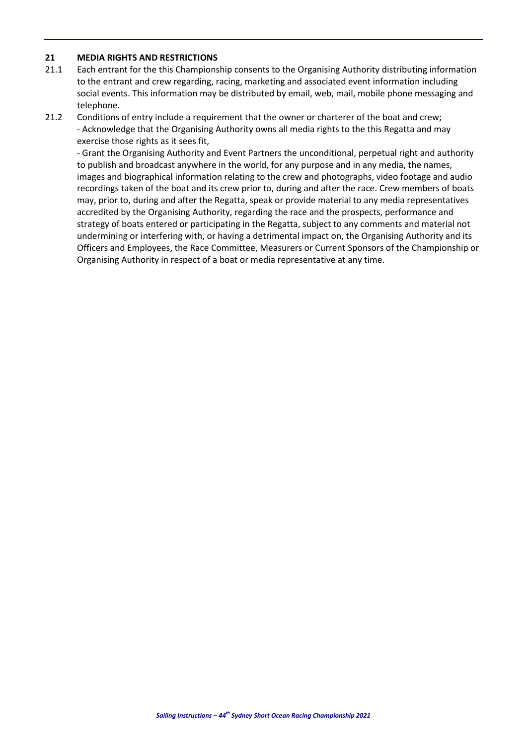#### **21 MEDIA RIGHTS AND RESTRICTIONS**

- 21.1 Each entrant for the this Championship consents to the Organising Authority distributing information to the entrant and crew regarding, racing, marketing and associated event information including social events. This information may be distributed by email, web, mail, mobile phone messaging and telephone.
- 21.2 Conditions of entry include a requirement that the owner or charterer of the boat and crew; - Acknowledge that the Organising Authority owns all media rights to the this Regatta and may exercise those rights as it sees fit,

- Grant the Organising Authority and Event Partners the unconditional, perpetual right and authority to publish and broadcast anywhere in the world, for any purpose and in any media, the names, images and biographical information relating to the crew and photographs, video footage and audio recordings taken of the boat and its crew prior to, during and after the race. Crew members of boats may, prior to, during and after the Regatta, speak or provide material to any media representatives accredited by the Organising Authority, regarding the race and the prospects, performance and strategy of boats entered or participating in the Regatta, subject to any comments and material not undermining or interfering with, or having a detrimental impact on, the Organising Authority and its Officers and Employees, the Race Committee, Measurers or Current Sponsors of the Championship or Organising Authority in respect of a boat or media representative at any time.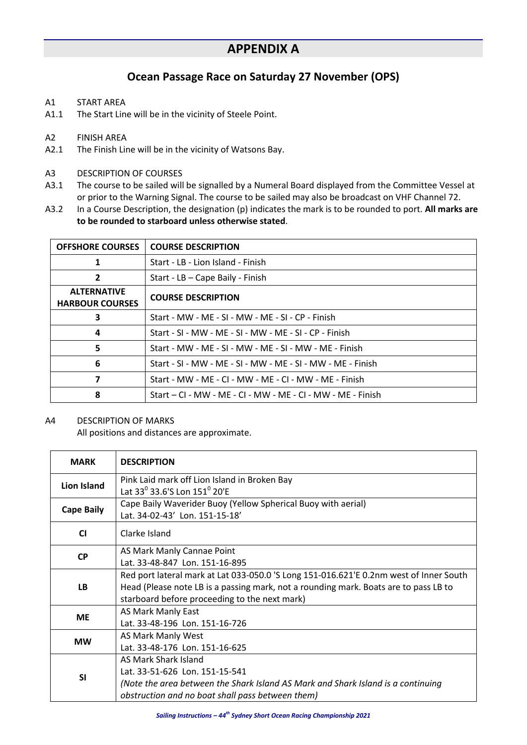### **Ocean Passage Race on Saturday 27 November (OPS)**

- A1 START AREA
- A1.1 The Start Line will be in the vicinity of Steele Point.

- A2 FINISH AREA<br>A2.1 The Finish Lir The Finish Line will be in the vicinity of Watsons Bay.
- A3 DESCRIPTION OF COURSES
- A3.1 The course to be sailed will be signalled by a Numeral Board displayed from the Committee Vessel at or prior to the Warning Signal. The course to be sailed may also be broadcast on VHF Channel 72.
- A3.2 In a Course Description, the designation (p) indicates the mark is to be rounded to port. **All marks are to be rounded to starboard unless otherwise stated**.

| <b>OFFSHORE COURSES</b>                      | <b>COURSE DESCRIPTION</b>                                   |
|----------------------------------------------|-------------------------------------------------------------|
| 1                                            | Start - LB - Lion Island - Finish                           |
| $\overline{2}$                               | Start - LB - Cape Baily - Finish                            |
| <b>ALTERNATIVE</b><br><b>HARBOUR COURSES</b> | <b>COURSE DESCRIPTION</b>                                   |
| 3                                            | Start - MW - MF - SI - MW - MF - SI - CP - Finish           |
| 4                                            | Start - SI - MW - MF - SI - MW - MF - SI - CP - Finish      |
| 5                                            | Start - MW - MF - SI - MW - MF - SI - MW - MF - Finish      |
| 6                                            | Start - SI - MW - MF - SI - MW - MF - SI - MW - MF - Finish |
| 7                                            | Start - MW - MF - CI - MW - MF - CI - MW - MF - Finish      |
| 8                                            | Start – CI - MW - MF - CI - MW - MF - CI - MW - MF - Finish |

#### A4 DESCRIPTION OF MARKS

All positions and distances are approximate.

| <b>MARK</b>        | <b>DESCRIPTION</b>                                                                                                                                                                                                              |
|--------------------|---------------------------------------------------------------------------------------------------------------------------------------------------------------------------------------------------------------------------------|
| <b>Lion Island</b> | Pink Laid mark off Lion Island in Broken Bay<br>Lat 33 <sup>0</sup> 33.6'S Lon 151 <sup>0</sup> 20'E                                                                                                                            |
| <b>Cape Baily</b>  | Cape Baily Waverider Buoy (Yellow Spherical Buoy with aerial)<br>Lat. 34-02-43' Lon. 151-15-18'                                                                                                                                 |
| <b>CI</b>          | Clarke Island                                                                                                                                                                                                                   |
| <b>CP</b>          | AS Mark Manly Cannae Point<br>Lat. 33-48-847 Lon. 151-16-895                                                                                                                                                                    |
| LB.                | Red port lateral mark at Lat 033-050.0 'S Long 151-016.621'E 0.2nm west of Inner South<br>Head (Please note LB is a passing mark, not a rounding mark. Boats are to pass LB to<br>starboard before proceeding to the next mark) |
| <b>ME</b>          | AS Mark Manly East<br>Lat. 33-48-196 Lon. 151-16-726                                                                                                                                                                            |
| <b>MW</b>          | AS Mark Manly West<br>Lat. 33-48-176 Lon. 151-16-625                                                                                                                                                                            |
| <b>SI</b>          | AS Mark Shark Island<br>Lat. 33-51-626 Lon. 151-15-541<br>(Note the area between the Shark Island AS Mark and Shark Island is a continuing<br>obstruction and no boat shall pass between them)                                  |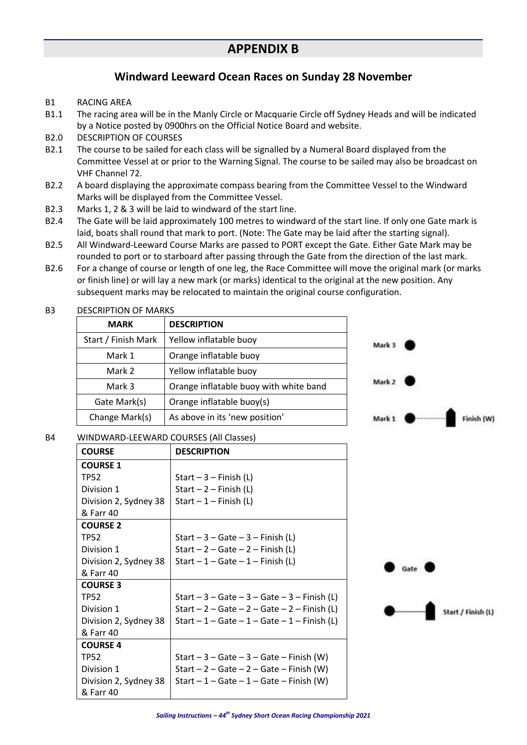#### **Windward Leeward Ocean Races on Sunday 28 November**

- B1 RACING AREA
- B1.1 The racing area will be in the Manly Circle or Macquarie Circle off Sydney Heads and will be indicated by a Notice posted by 0900hrs on the Official Notice Board and website.
- B2.0 DESCRIPTION OF COURSES
- B2.1 The course to be sailed for each class will be signalled by a Numeral Board displayed from the Committee Vessel at or prior to the Warning Signal. The course to be sailed may also be broadcast on VHF Channel 72.
- B2.2 A board displaying the approximate compass bearing from the Committee Vessel to the Windward Marks will be displayed from the Committee Vessel.
- B2.3 Marks 1, 2 & 3 will be laid to windward of the start line.
- B2.4 The Gate will be laid approximately 100 metres to windward of the start line. If only one Gate mark is laid, boats shall round that mark to port. (Note: The Gate may be laid after the starting signal).
- B2.5 All Windward-Leeward Course Marks are passed to PORT except the Gate. Either Gate Mark may be rounded to port or to starboard after passing through the Gate from the direction of the last mark.
- B2.6 For a change of course or length of one leg, the Race Committee will move the original mark (or marks or finish line) or will lay a new mark (or marks) identical to the original at the new position. Any subsequent marks may be relocated to maintain the original course configuration.

| <b>MARK</b>         | <b>DESCRIPTION</b>                     |
|---------------------|----------------------------------------|
| Start / Finish Mark | Yellow inflatable buoy                 |
| Mark 1              | Orange inflatable buoy                 |
| Mark 2              | Yellow inflatable buoy                 |
| Mark 3              | Orange inflatable buoy with white band |
| Gate Mark(s)        | Orange inflatable buoy(s)              |
| Change Mark(s)      | As above in its 'new position'         |

#### B3 DESCRIPTION OF MARKS

| Mark 3 |            |
|--------|------------|
| Mark 2 |            |
| Mark 1 | Finish (W) |

#### B4 WINDWARD-LEEWARD COURSES (All Classes)

| <b>COURSE</b>         | <b>DESCRIPTION</b>                            |
|-----------------------|-----------------------------------------------|
| <b>COURSE 1</b>       |                                               |
| TP52                  | Start $-3$ – Finish (L)                       |
| Division 1            | Start $-2$ – Finish (L)                       |
| Division 2, Sydney 38 | Start $-1$ – Finish (L)                       |
| & Farr 40             |                                               |
| <b>COURSE 2</b>       |                                               |
| TP52                  | Start $-3 -$ Gate $-3 -$ Finish (L)           |
| Division 1            | Start $-2 -$ Gate $-2 -$ Finish (L)           |
| Division 2, Sydney 38 | Start $-1$ – Gate – 1 – Finish (L)            |
| & Farr 40             |                                               |
| <b>COURSE 3</b>       |                                               |
| TP52                  | Start $-3$ – Gate – 3 – Gate – 3 – Finish (L) |
| Division 1            | Start $-2$ – Gate – 2 – Gate – 2 – Finish (L) |
| Division 2, Sydney 38 | Start $-1$ – Gate – 1 – Gate – 1 – Finish (L) |
| & Farr 40             |                                               |
| <b>COURSE 4</b>       |                                               |
| <b>TP52</b>           | Start $-3 -$ Gate $-3 -$ Gate $-$ Finish (W)  |
| Division 1            | Start $-2 -$ Gate $-2 -$ Gate $-$ Finish (W)  |
| Division 2, Sydney 38 | Start $-1$ – Gate – 1 – Gate – Finish (W)     |
| & Farr 40             |                                               |